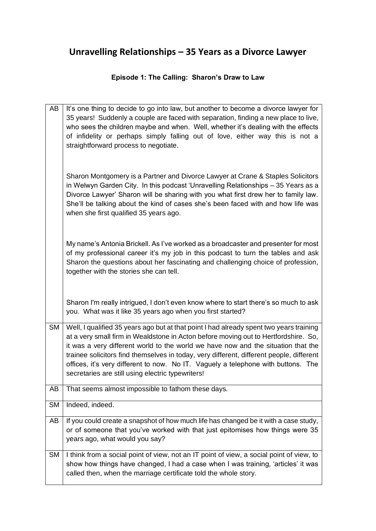## **Unravelling Relationships – 35 Years as a Divorce Lawyer**

## **Episode 1: The Calling: Sharon's Draw to Law**

| AB        | It's one thing to decide to go into law, but another to become a divorce lawyer for<br>35 years! Suddenly a couple are faced with separation, finding a new place to live,<br>who sees the children maybe and when. Well, whether it's dealing with the effects<br>of infidelity or perhaps simply falling out of love, either way this is not a<br>straightforward process to negotiate.                                                                                                                 |
|-----------|-----------------------------------------------------------------------------------------------------------------------------------------------------------------------------------------------------------------------------------------------------------------------------------------------------------------------------------------------------------------------------------------------------------------------------------------------------------------------------------------------------------|
|           | Sharon Montgomery is a Partner and Divorce Lawyer at Crane & Staples Solicitors<br>in Welwyn Garden City. In this podcast 'Unravelling Relationships - 35 Years as a<br>Divorce Lawyer' Sharon will be sharing with you what first drew her to family law.<br>She'll be talking about the kind of cases she's been faced with and how life was<br>when she first qualified 35 years ago.                                                                                                                  |
|           | My name's Antonia Brickell. As I've worked as a broadcaster and presenter for most<br>of my professional career it's my job in this podcast to turn the tables and ask<br>Sharon the questions about her fascinating and challenging choice of profession,<br>together with the stories she can tell.                                                                                                                                                                                                     |
|           | Sharon I'm really intrigued, I don't even know where to start there's so much to ask<br>you. What was it like 35 years ago when you first started?                                                                                                                                                                                                                                                                                                                                                        |
| <b>SM</b> | Well, I qualified 35 years ago but at that point I had already spent two years training<br>at a very small firm in Wealdstone in Acton before moving out to Hertfordshire. So,<br>it was a very different world to the world we have now and the situation that the<br>trainee solicitors find themselves in today, very different, different people, different<br>offices, it's very different to now. No IT. Vaguely a telephone with buttons. The<br>secretaries are still using electric typewriters! |
| AB        | That seems almost impossible to fathom these days.                                                                                                                                                                                                                                                                                                                                                                                                                                                        |
| <b>SM</b> | Indeed, indeed.                                                                                                                                                                                                                                                                                                                                                                                                                                                                                           |
| AB        | If you could create a snapshot of how much life has changed be it with a case study,<br>or of someone that you've worked with that just epitomises how things were 35<br>years ago, what would you say?                                                                                                                                                                                                                                                                                                   |
| <b>SM</b> | I think from a social point of view, not an IT point of view, a social point of view, to<br>show how things have changed, I had a case when I was training, 'articles' it was<br>called then, when the marriage certificate told the whole story.                                                                                                                                                                                                                                                         |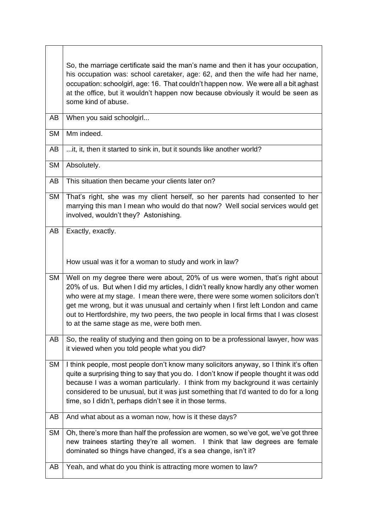|           | So, the marriage certificate said the man's name and then it has your occupation,<br>his occupation was: school caretaker, age: 62, and then the wife had her name,<br>occupation: schoolgirl, age: 16. That couldn't happen now. We were all a bit aghast<br>at the office, but it wouldn't happen now because obviously it would be seen as<br>some kind of abuse.                                                                                                            |
|-----------|---------------------------------------------------------------------------------------------------------------------------------------------------------------------------------------------------------------------------------------------------------------------------------------------------------------------------------------------------------------------------------------------------------------------------------------------------------------------------------|
| AB        | When you said schoolgirl                                                                                                                                                                                                                                                                                                                                                                                                                                                        |
| <b>SM</b> | Mm indeed.                                                                                                                                                                                                                                                                                                                                                                                                                                                                      |
| AB        | it, it, then it started to sink in, but it sounds like another world?                                                                                                                                                                                                                                                                                                                                                                                                           |
| <b>SM</b> | Absolutely.                                                                                                                                                                                                                                                                                                                                                                                                                                                                     |
| AB        | This situation then became your clients later on?                                                                                                                                                                                                                                                                                                                                                                                                                               |
| <b>SM</b> | That's right, she was my client herself, so her parents had consented to her<br>marrying this man I mean who would do that now? Well social services would get<br>involved, wouldn't they? Astonishing.                                                                                                                                                                                                                                                                         |
| AB        | Exactly, exactly.<br>How usual was it for a woman to study and work in law?                                                                                                                                                                                                                                                                                                                                                                                                     |
| <b>SM</b> | Well on my degree there were about, 20% of us were women, that's right about<br>20% of us. But when I did my articles, I didn't really know hardly any other women<br>who were at my stage. I mean there were, there were some women solicitors don't<br>get me wrong, but it was unusual and certainly when I first left London and came<br>out to Hertfordshire, my two peers, the two people in local firms that I was closest<br>to at the same stage as me, were both men. |
| AB        | So, the reality of studying and then going on to be a professional lawyer, how was<br>it viewed when you told people what you did?                                                                                                                                                                                                                                                                                                                                              |
| <b>SM</b> | I think people, most people don't know many solicitors anyway, so I think it's often<br>quite a surprising thing to say that you do. I don't know if people thought it was odd<br>because I was a woman particularly. I think from my background it was certainly<br>considered to be unusual, but it was just something that I'd wanted to do for a long<br>time, so I didn't, perhaps didn't see it in those terms.                                                           |
| AB        | And what about as a woman now, how is it these days?                                                                                                                                                                                                                                                                                                                                                                                                                            |
| SM        | Oh, there's more than half the profession are women, so we've got, we've got three<br>new trainees starting they're all women. I think that law degrees are female<br>dominated so things have changed, it's a sea change, isn't it?                                                                                                                                                                                                                                            |
| AB        | Yeah, and what do you think is attracting more women to law?                                                                                                                                                                                                                                                                                                                                                                                                                    |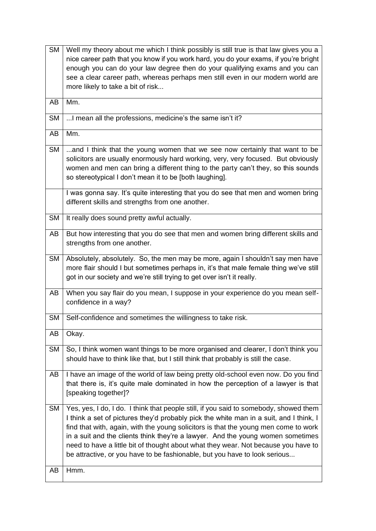| <b>SM</b> | Well my theory about me which I think possibly is still true is that law gives you a<br>nice career path that you know if you work hard, you do your exams, if you're bright                                                                                                                                                                                                                                                                                                                                                  |
|-----------|-------------------------------------------------------------------------------------------------------------------------------------------------------------------------------------------------------------------------------------------------------------------------------------------------------------------------------------------------------------------------------------------------------------------------------------------------------------------------------------------------------------------------------|
|           | enough you can do your law degree then do your qualifying exams and you can<br>see a clear career path, whereas perhaps men still even in our modern world are                                                                                                                                                                                                                                                                                                                                                                |
|           | more likely to take a bit of risk                                                                                                                                                                                                                                                                                                                                                                                                                                                                                             |
| AB        | Mm.                                                                                                                                                                                                                                                                                                                                                                                                                                                                                                                           |
| <b>SM</b> | I mean all the professions, medicine's the same isn't it?                                                                                                                                                                                                                                                                                                                                                                                                                                                                     |
| AB        | Mm.                                                                                                                                                                                                                                                                                                                                                                                                                                                                                                                           |
| <b>SM</b> | and I think that the young women that we see now certainly that want to be<br>solicitors are usually enormously hard working, very, very focused. But obviously<br>women and men can bring a different thing to the party can't they, so this sounds<br>so stereotypical I don't mean it to be [both laughing].                                                                                                                                                                                                               |
|           | I was gonna say. It's quite interesting that you do see that men and women bring<br>different skills and strengths from one another.                                                                                                                                                                                                                                                                                                                                                                                          |
| <b>SM</b> | It really does sound pretty awful actually.                                                                                                                                                                                                                                                                                                                                                                                                                                                                                   |
| AB        | But how interesting that you do see that men and women bring different skills and<br>strengths from one another.                                                                                                                                                                                                                                                                                                                                                                                                              |
| <b>SM</b> | Absolutely, absolutely. So, the men may be more, again I shouldn't say men have<br>more flair should I but sometimes perhaps in, it's that male female thing we've still<br>got in our society and we're still trying to get over isn't it really.                                                                                                                                                                                                                                                                            |
| AB        | When you say flair do you mean, I suppose in your experience do you mean self-<br>confidence in a way?                                                                                                                                                                                                                                                                                                                                                                                                                        |
| <b>SM</b> | Self-confidence and sometimes the willingness to take risk.                                                                                                                                                                                                                                                                                                                                                                                                                                                                   |
| AB        | Okay.                                                                                                                                                                                                                                                                                                                                                                                                                                                                                                                         |
| <b>SM</b> | So, I think women want things to be more organised and clearer, I don't think you<br>should have to think like that, but I still think that probably is still the case.                                                                                                                                                                                                                                                                                                                                                       |
| AB        | I have an image of the world of law being pretty old-school even now. Do you find<br>that there is, it's quite male dominated in how the perception of a lawyer is that<br>[speaking together]?                                                                                                                                                                                                                                                                                                                               |
| <b>SM</b> | Yes, yes, I do, I do. I think that people still, if you said to somebody, showed them<br>I think a set of pictures they'd probably pick the white man in a suit, and I think, I<br>find that with, again, with the young solicitors is that the young men come to work<br>in a suit and the clients think they're a lawyer. And the young women sometimes<br>need to have a little bit of thought about what they wear. Not because you have to<br>be attractive, or you have to be fashionable, but you have to look serious |
| AB        | Hmm.                                                                                                                                                                                                                                                                                                                                                                                                                                                                                                                          |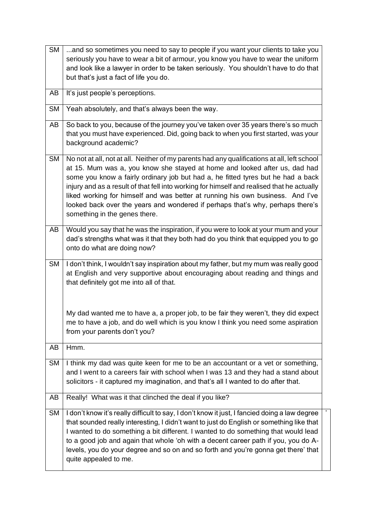| <b>SM</b> | and so sometimes you need to say to people if you want your clients to take you<br>seriously you have to wear a bit of armour, you know you have to wear the uniform<br>and look like a lawyer in order to be taken seriously. You shouldn't have to do that<br>but that's just a fact of life you do.                                                                                                                                                                                                                                                           |
|-----------|------------------------------------------------------------------------------------------------------------------------------------------------------------------------------------------------------------------------------------------------------------------------------------------------------------------------------------------------------------------------------------------------------------------------------------------------------------------------------------------------------------------------------------------------------------------|
| AB        | It's just people's perceptions.                                                                                                                                                                                                                                                                                                                                                                                                                                                                                                                                  |
| <b>SM</b> | Yeah absolutely, and that's always been the way.                                                                                                                                                                                                                                                                                                                                                                                                                                                                                                                 |
| AB        | So back to you, because of the journey you've taken over 35 years there's so much<br>that you must have experienced. Did, going back to when you first started, was your<br>background academic?                                                                                                                                                                                                                                                                                                                                                                 |
| <b>SM</b> | No not at all, not at all. Neither of my parents had any qualifications at all, left school<br>at 15. Mum was a, you know she stayed at home and looked after us, dad had<br>some you know a fairly ordinary job but had a, he fitted tyres but he had a back<br>injury and as a result of that fell into working for himself and realised that he actually<br>liked working for himself and was better at running his own business. And I've<br>looked back over the years and wondered if perhaps that's why, perhaps there's<br>something in the genes there. |
| AB        | Would you say that he was the inspiration, if you were to look at your mum and your<br>dad's strengths what was it that they both had do you think that equipped you to go<br>onto do what are doing now?                                                                                                                                                                                                                                                                                                                                                        |
| <b>SM</b> | I don't think, I wouldn't say inspiration about my father, but my mum was really good<br>at English and very supportive about encouraging about reading and things and<br>that definitely got me into all of that.                                                                                                                                                                                                                                                                                                                                               |
|           | My dad wanted me to have a, a proper job, to be fair they weren't, they did expect<br>me to have a job, and do well which is you know I think you need some aspiration<br>from your parents don't you?                                                                                                                                                                                                                                                                                                                                                           |
| AB        | Hmm.                                                                                                                                                                                                                                                                                                                                                                                                                                                                                                                                                             |
| <b>SM</b> | I think my dad was quite keen for me to be an accountant or a vet or something,<br>and I went to a careers fair with school when I was 13 and they had a stand about<br>solicitors - it captured my imagination, and that's all I wanted to do after that.                                                                                                                                                                                                                                                                                                       |
| AB        | Really! What was it that clinched the deal if you like?                                                                                                                                                                                                                                                                                                                                                                                                                                                                                                          |
| <b>SM</b> | I don't know it's really difficult to say, I don't know it just, I fancied doing a law degree<br>that sounded really interesting, I didn't want to just do English or something like that<br>I wanted to do something a bit different. I wanted to do something that would lead<br>to a good job and again that whole 'oh with a decent career path if you, you do A-<br>levels, you do your degree and so on and so forth and you're gonna get there' that<br>quite appealed to me.                                                                             |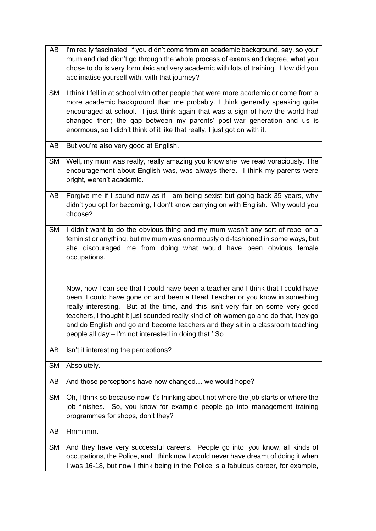| AB        | I'm really fascinated; if you didn't come from an academic background, say, so your<br>mum and dad didn't go through the whole process of exams and degree, what you<br>chose to do is very formulaic and very academic with lots of training. How did you<br>acclimatise yourself with, with that journey?                                                                                                                                                                             |
|-----------|-----------------------------------------------------------------------------------------------------------------------------------------------------------------------------------------------------------------------------------------------------------------------------------------------------------------------------------------------------------------------------------------------------------------------------------------------------------------------------------------|
| <b>SM</b> | I think I fell in at school with other people that were more academic or come from a<br>more academic background than me probably. I think generally speaking quite<br>encouraged at school. I just think again that was a sign of how the world had<br>changed then; the gap between my parents' post-war generation and us is<br>enormous, so I didn't think of it like that really, I just got on with it.                                                                           |
| AB        | But you're also very good at English.                                                                                                                                                                                                                                                                                                                                                                                                                                                   |
| <b>SM</b> | Well, my mum was really, really amazing you know she, we read voraciously. The<br>encouragement about English was, was always there. I think my parents were<br>bright, weren't academic.                                                                                                                                                                                                                                                                                               |
| AB        | Forgive me if I sound now as if I am being sexist but going back 35 years, why<br>didn't you opt for becoming, I don't know carrying on with English. Why would you<br>choose?                                                                                                                                                                                                                                                                                                          |
| <b>SM</b> | I didn't want to do the obvious thing and my mum wasn't any sort of rebel or a<br>feminist or anything, but my mum was enormously old-fashioned in some ways, but<br>she discouraged me from doing what would have been obvious female<br>occupations.                                                                                                                                                                                                                                  |
|           | Now, now I can see that I could have been a teacher and I think that I could have<br>been, I could have gone on and been a Head Teacher or you know in something<br>really interesting. But at the time, and this isn't very fair on some very good<br>teachers, I thought it just sounded really kind of 'oh women go and do that, they go<br>and do English and go and become teachers and they sit in a classroom teaching<br>people all day - I'm not interested in doing that.' So |
| AB        | Isn't it interesting the perceptions?                                                                                                                                                                                                                                                                                                                                                                                                                                                   |
| <b>SM</b> | Absolutely.                                                                                                                                                                                                                                                                                                                                                                                                                                                                             |
| AB        | And those perceptions have now changed we would hope?                                                                                                                                                                                                                                                                                                                                                                                                                                   |
| <b>SM</b> | Oh, I think so because now it's thinking about not where the job starts or where the<br>job finishes. So, you know for example people go into management training<br>programmes for shops, don't they?                                                                                                                                                                                                                                                                                  |
| AB        | Hmm mm.                                                                                                                                                                                                                                                                                                                                                                                                                                                                                 |
| <b>SM</b> | And they have very successful careers. People go into, you know, all kinds of<br>occupations, the Police, and I think now I would never have dreamt of doing it when<br>I was 16-18, but now I think being in the Police is a fabulous career, for example,                                                                                                                                                                                                                             |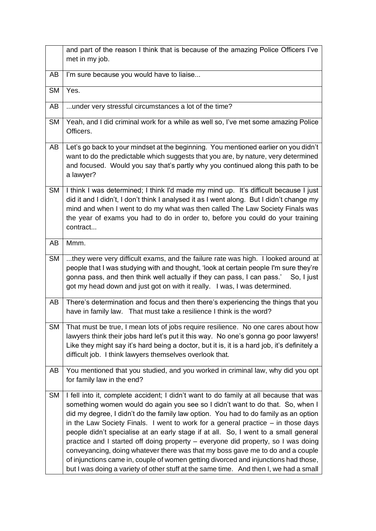|           | and part of the reason I think that is because of the amazing Police Officers I've<br>met in my job.                                                                                                                                                                                                                                                                                                                                                                                                                                                                                                                                                                                                                                                                                               |
|-----------|----------------------------------------------------------------------------------------------------------------------------------------------------------------------------------------------------------------------------------------------------------------------------------------------------------------------------------------------------------------------------------------------------------------------------------------------------------------------------------------------------------------------------------------------------------------------------------------------------------------------------------------------------------------------------------------------------------------------------------------------------------------------------------------------------|
| AB        | I'm sure because you would have to liaise                                                                                                                                                                                                                                                                                                                                                                                                                                                                                                                                                                                                                                                                                                                                                          |
| <b>SM</b> | Yes.                                                                                                                                                                                                                                                                                                                                                                                                                                                                                                                                                                                                                                                                                                                                                                                               |
| AB        | under very stressful circumstances a lot of the time?                                                                                                                                                                                                                                                                                                                                                                                                                                                                                                                                                                                                                                                                                                                                              |
| <b>SM</b> | Yeah, and I did criminal work for a while as well so, I've met some amazing Police<br>Officers.                                                                                                                                                                                                                                                                                                                                                                                                                                                                                                                                                                                                                                                                                                    |
| AB        | Let's go back to your mindset at the beginning. You mentioned earlier on you didn't<br>want to do the predictable which suggests that you are, by nature, very determined<br>and focused. Would you say that's partly why you continued along this path to be<br>a lawyer?                                                                                                                                                                                                                                                                                                                                                                                                                                                                                                                         |
| SM        | I think I was determined; I think I'd made my mind up. It's difficult because I just<br>did it and I didn't, I don't think I analysed it as I went along. But I didn't change my<br>mind and when I went to do my what was then called The Law Society Finals was<br>the year of exams you had to do in order to, before you could do your training<br>contract                                                                                                                                                                                                                                                                                                                                                                                                                                    |
| AB        | Mmm.                                                                                                                                                                                                                                                                                                                                                                                                                                                                                                                                                                                                                                                                                                                                                                                               |
| <b>SM</b> | they were very difficult exams, and the failure rate was high. I looked around at<br>people that I was studying with and thought, 'look at certain people I'm sure they're<br>gonna pass, and then think well actually if they can pass, I can pass.' So, I just<br>got my head down and just got on with it really. I was, I was determined.                                                                                                                                                                                                                                                                                                                                                                                                                                                      |
| AB        | There's determination and focus and then there's experiencing the things that you<br>have in family law. That must take a resilience I think is the word?                                                                                                                                                                                                                                                                                                                                                                                                                                                                                                                                                                                                                                          |
|           | SM   That must be true, I mean lots of jobs require resilience. No one cares about how<br>lawyers think their jobs hard let's put it this way. No one's gonna go poor lawyers!<br>Like they might say it's hard being a doctor, but it is, it is a hard job, it's definitely a<br>difficult job. I think lawyers themselves overlook that.                                                                                                                                                                                                                                                                                                                                                                                                                                                         |
| AB        | You mentioned that you studied, and you worked in criminal law, why did you opt<br>for family law in the end?                                                                                                                                                                                                                                                                                                                                                                                                                                                                                                                                                                                                                                                                                      |
| <b>SM</b> | I fell into it, complete accident; I didn't want to do family at all because that was<br>something women would do again you see so I didn't want to do that. So, when I<br>did my degree, I didn't do the family law option. You had to do family as an option<br>in the Law Society Finals. I went to work for a general practice $-$ in those days<br>people didn't specialise at an early stage if at all. So, I went to a small general<br>practice and I started off doing property - everyone did property, so I was doing<br>conveyancing, doing whatever there was that my boss gave me to do and a couple<br>of injunctions came in, couple of women getting divorced and injunctions had those,<br>but I was doing a variety of other stuff at the same time. And then I, we had a small |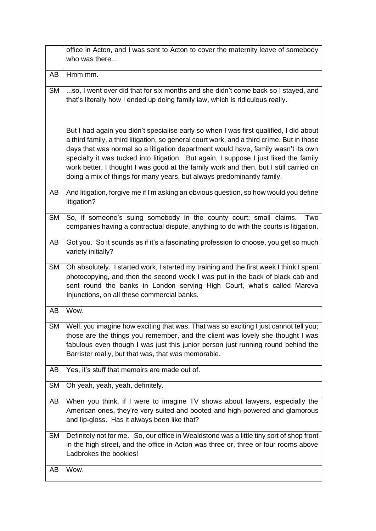|           | office in Acton, and I was sent to Acton to cover the maternity leave of somebody<br>who was there                                                                                                                                                                                                                                                                                                                                                                                                                                    |
|-----------|---------------------------------------------------------------------------------------------------------------------------------------------------------------------------------------------------------------------------------------------------------------------------------------------------------------------------------------------------------------------------------------------------------------------------------------------------------------------------------------------------------------------------------------|
| AB        | Hmm mm.                                                                                                                                                                                                                                                                                                                                                                                                                                                                                                                               |
| <b>SM</b> | so, I went over did that for six months and she didn't come back so I stayed, and<br>that's literally how I ended up doing family law, which is ridiculous really.                                                                                                                                                                                                                                                                                                                                                                    |
|           | But I had again you didn't specialise early so when I was first qualified, I did about<br>a third family, a third litigation, so general court work, and a third crime. But in those<br>days that was normal so a litigation department would have, family wasn't its own<br>specialty it was tucked into litigation. But again, I suppose I just liked the family<br>work better, I thought I was good at the family work and then, but I still carried on<br>doing a mix of things for many years, but always predominantly family. |
| AB        | And litigation, forgive me if I'm asking an obvious question, so how would you define<br>litigation?                                                                                                                                                                                                                                                                                                                                                                                                                                  |
| <b>SM</b> | So, if someone's suing somebody in the county court; small claims.<br>Two<br>companies having a contractual dispute, anything to do with the courts is litigation.                                                                                                                                                                                                                                                                                                                                                                    |
| AB        | Got you. So it sounds as if it's a fascinating profession to choose, you get so much<br>variety initially?                                                                                                                                                                                                                                                                                                                                                                                                                            |
| <b>SM</b> | Oh absolutely. I started work, I started my training and the first week I think I spent<br>photocopying, and then the second week I was put in the back of black cab and<br>sent round the banks in London serving High Court, what's called Mareva<br>Injunctions, on all these commercial banks.                                                                                                                                                                                                                                    |
| AB        | Wow.                                                                                                                                                                                                                                                                                                                                                                                                                                                                                                                                  |
|           | SM   Well, you imagine how exciting that was. That was so exciting I just cannot tell you;<br>those are the things you remember, and the client was lovely she thought I was<br>fabulous even though I was just this junior person just running round behind the<br>Barrister really, but that was, that was memorable.                                                                                                                                                                                                               |
| AB        | Yes, it's stuff that memoirs are made out of.                                                                                                                                                                                                                                                                                                                                                                                                                                                                                         |
| <b>SM</b> | Oh yeah, yeah, yeah, definitely.                                                                                                                                                                                                                                                                                                                                                                                                                                                                                                      |
| AB        | When you think, if I were to imagine TV shows about lawyers, especially the<br>American ones, they're very suited and booted and high-powered and glamorous<br>and lip-gloss. Has it always been like that?                                                                                                                                                                                                                                                                                                                           |
| SM.       | Definitely not for me. So, our office in Wealdstone was a little tiny sort of shop front<br>in the high street, and the office in Acton was three or, three or four rooms above<br>Ladbrokes the bookies!                                                                                                                                                                                                                                                                                                                             |
| AB        | Wow.                                                                                                                                                                                                                                                                                                                                                                                                                                                                                                                                  |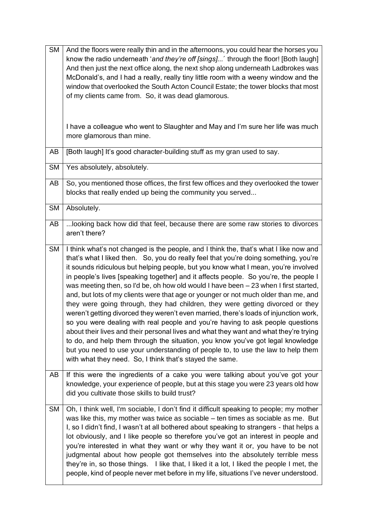| <b>SM</b> | And the floors were really thin and in the afternoons, you could hear the horses you<br>know the radio underneath 'and they're off [sings]' through the floor! [Both laugh]<br>And then just the next office along, the next shop along underneath Ladbrokes was<br>McDonald's, and I had a really, really tiny little room with a weeny window and the<br>window that overlooked the South Acton Council Estate; the tower blocks that most<br>of my clients came from. So, it was dead glamorous.<br>I have a colleague who went to Slaughter and May and I'm sure her life was much<br>more glamorous than mine.                                                                                                                                                                                                                                                                                                                                                                                                                                                                                                                 |
|-----------|-------------------------------------------------------------------------------------------------------------------------------------------------------------------------------------------------------------------------------------------------------------------------------------------------------------------------------------------------------------------------------------------------------------------------------------------------------------------------------------------------------------------------------------------------------------------------------------------------------------------------------------------------------------------------------------------------------------------------------------------------------------------------------------------------------------------------------------------------------------------------------------------------------------------------------------------------------------------------------------------------------------------------------------------------------------------------------------------------------------------------------------|
| AB        | [Both laugh] It's good character-building stuff as my gran used to say.                                                                                                                                                                                                                                                                                                                                                                                                                                                                                                                                                                                                                                                                                                                                                                                                                                                                                                                                                                                                                                                             |
| <b>SM</b> | Yes absolutely, absolutely.                                                                                                                                                                                                                                                                                                                                                                                                                                                                                                                                                                                                                                                                                                                                                                                                                                                                                                                                                                                                                                                                                                         |
| AB        | So, you mentioned those offices, the first few offices and they overlooked the tower<br>blocks that really ended up being the community you served                                                                                                                                                                                                                                                                                                                                                                                                                                                                                                                                                                                                                                                                                                                                                                                                                                                                                                                                                                                  |
| <b>SM</b> | Absolutely.                                                                                                                                                                                                                                                                                                                                                                                                                                                                                                                                                                                                                                                                                                                                                                                                                                                                                                                                                                                                                                                                                                                         |
| AB        | looking back how did that feel, because there are some raw stories to divorces<br>aren't there?                                                                                                                                                                                                                                                                                                                                                                                                                                                                                                                                                                                                                                                                                                                                                                                                                                                                                                                                                                                                                                     |
| <b>SM</b> | I think what's not changed is the people, and I think the, that's what I like now and<br>that's what I liked then. So, you do really feel that you're doing something, you're<br>it sounds ridiculous but helping people, but you know what I mean, you're involved<br>in people's lives [speaking together] and it affects people. So you're, the people I<br>was meeting then, so I'd be, oh how old would I have been - 23 when I first started,<br>and, but lots of my clients were that age or younger or not much older than me, and<br>they were going through, they had children, they were getting divorced or they<br>weren't getting divorced they weren't even married, there's loads of injunction work,<br>so you were dealing with real people and you're having to ask people questions<br>about their lives and their personal lives and what they want and what they're trying<br>to do, and help them through the situation, you know you've got legal knowledge<br>but you need to use your understanding of people to, to use the law to help them<br>with what they need. So, I think that's stayed the same. |
| AB        | If this were the ingredients of a cake you were talking about you've got your<br>knowledge, your experience of people, but at this stage you were 23 years old how<br>did you cultivate those skills to build trust?                                                                                                                                                                                                                                                                                                                                                                                                                                                                                                                                                                                                                                                                                                                                                                                                                                                                                                                |
| <b>SM</b> | Oh, I think well, I'm sociable, I don't find it difficult speaking to people; my mother<br>was like this, my mother was twice as sociable - ten times as sociable as me. But<br>I, so I didn't find, I wasn't at all bothered about speaking to strangers - that helps a<br>lot obviously, and I like people so therefore you've got an interest in people and<br>you're interested in what they want or why they want it or, you have to be not<br>judgmental about how people got themselves into the absolutely terrible mess<br>they're in, so those things. I like that, I liked it a lot, I liked the people I met, the<br>people, kind of people never met before in my life, situations I've never understood.                                                                                                                                                                                                                                                                                                                                                                                                              |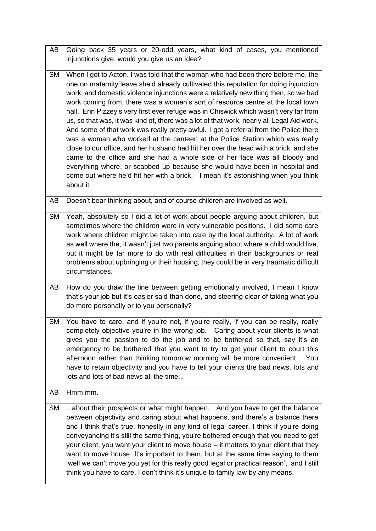| AB        | Going back 35 years or 20-odd years, what kind of cases, you mentioned<br>injunctions give, would you give us an idea?                                                                                                                                                                                                                                                                                                                                                                                                                                                                                                                                                                                                                                                                                                                                                                                                                                                                                                                                                  |
|-----------|-------------------------------------------------------------------------------------------------------------------------------------------------------------------------------------------------------------------------------------------------------------------------------------------------------------------------------------------------------------------------------------------------------------------------------------------------------------------------------------------------------------------------------------------------------------------------------------------------------------------------------------------------------------------------------------------------------------------------------------------------------------------------------------------------------------------------------------------------------------------------------------------------------------------------------------------------------------------------------------------------------------------------------------------------------------------------|
| <b>SM</b> | When I got to Acton, I was told that the woman who had been there before me, the<br>one on maternity leave she'd already cultivated this reputation for doing injunction<br>work, and domestic violence injunctions were a relatively new thing then, so we had<br>work coming from, there was a women's sort of resource centre at the local town<br>hall. Erin Pizzey's very first ever refuge was in Chiswick which wasn't very far from<br>us, so that was, it was kind of, there was a lot of that work, nearly all Legal Aid work.<br>And some of that work was really pretty awful. I got a referral from the Police there<br>was a woman who worked at the canteen at the Police Station which was really<br>close to our office, and her husband had hit her over the head with a brick, and she<br>came to the office and she had a whole side of her face was all bloody and<br>everything where, or scabbed up because she would have been in hospital and<br>come out where he'd hit her with a brick. I mean it's astonishing when you think<br>about it. |
| AB        | Doesn't bear thinking about, and of course children are involved as well.                                                                                                                                                                                                                                                                                                                                                                                                                                                                                                                                                                                                                                                                                                                                                                                                                                                                                                                                                                                               |
| SM        | Yeah, absolutely so I did a lot of work about people arguing about children, but<br>sometimes where the children were in very vulnerable positions. I did some care<br>work where children might be taken into care by the local authority. A lot of work<br>as well where the, it wasn't just two parents arguing about where a child would live,<br>but it might be far more to do with real difficulties in their backgrounds or real<br>problems about upbringing or their housing, they could be in very traumatic difficult<br>circumstances.                                                                                                                                                                                                                                                                                                                                                                                                                                                                                                                     |
| AB        | How do you draw the line between getting emotionally involved, I mean I know<br>that's your job but it's easier said than done, and steering clear of taking what you<br>do more personally or to you personally?                                                                                                                                                                                                                                                                                                                                                                                                                                                                                                                                                                                                                                                                                                                                                                                                                                                       |
| SM        | You have to care, and if you're not, if you're really, if you can be really, really<br>completely objective you're in the wrong job.  Caring about your clients is what<br>gives you the passion to do the job and to be bothered so that, say it's an<br>emergency to be bothered that you want to try to get your client to court this<br>afternoon rather than thinking tomorrow morning will be more convenient.<br>You<br>have to retain objectivity and you have to tell your clients the bad news, lots and<br>lots and lots of bad news all the time                                                                                                                                                                                                                                                                                                                                                                                                                                                                                                            |
| AB        | Hmm mm.                                                                                                                                                                                                                                                                                                                                                                                                                                                                                                                                                                                                                                                                                                                                                                                                                                                                                                                                                                                                                                                                 |
| <b>SM</b> | about their prospects or what might happen. And you have to get the balance<br>between objectivity and caring about what happens, and there's a balance there<br>and I think that's true, honestly in any kind of legal career, I think if you're doing<br>conveyancing it's still the same thing, you're bothered enough that you need to get<br>your client, you want your client to move house - it matters to your client that they<br>want to move house. It's important to them, but at the same time saying to them<br>'well we can't move you yet for this really good legal or practical reason', and I still<br>think you have to care, I don't think it's unique to family law by any means.                                                                                                                                                                                                                                                                                                                                                                 |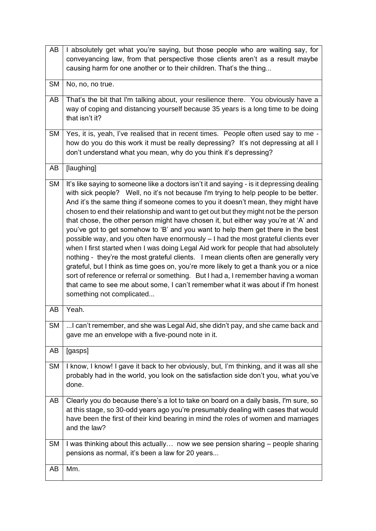| AB        | I absolutely get what you're saying, but those people who are waiting say, for<br>conveyancing law, from that perspective those clients aren't as a result maybe<br>causing harm for one another or to their children. That's the thing                                                                                                                                                                                                                                                                                                                                                                                                                                                                                                                                                                                                                                                                                                                                                                                                                                                                        |
|-----------|----------------------------------------------------------------------------------------------------------------------------------------------------------------------------------------------------------------------------------------------------------------------------------------------------------------------------------------------------------------------------------------------------------------------------------------------------------------------------------------------------------------------------------------------------------------------------------------------------------------------------------------------------------------------------------------------------------------------------------------------------------------------------------------------------------------------------------------------------------------------------------------------------------------------------------------------------------------------------------------------------------------------------------------------------------------------------------------------------------------|
| <b>SM</b> | No, no, no true.                                                                                                                                                                                                                                                                                                                                                                                                                                                                                                                                                                                                                                                                                                                                                                                                                                                                                                                                                                                                                                                                                               |
| AB        | That's the bit that I'm talking about, your resilience there. You obviously have a<br>way of coping and distancing yourself because 35 years is a long time to be doing<br>that isn't it?                                                                                                                                                                                                                                                                                                                                                                                                                                                                                                                                                                                                                                                                                                                                                                                                                                                                                                                      |
| <b>SM</b> | Yes, it is, yeah, I've realised that in recent times. People often used say to me -<br>how do you do this work it must be really depressing? It's not depressing at all I<br>don't understand what you mean, why do you think it's depressing?                                                                                                                                                                                                                                                                                                                                                                                                                                                                                                                                                                                                                                                                                                                                                                                                                                                                 |
| AB        | [laughing]                                                                                                                                                                                                                                                                                                                                                                                                                                                                                                                                                                                                                                                                                                                                                                                                                                                                                                                                                                                                                                                                                                     |
| <b>SM</b> | It's like saying to someone like a doctors isn't it and saying - is it depressing dealing<br>with sick people? Well, no it's not because I'm trying to help people to be better.<br>And it's the same thing if someone comes to you it doesn't mean, they might have<br>chosen to end their relationship and want to get out but they might not be the person<br>that chose, the other person might have chosen it, but either way you're at 'A' and<br>you've got to get somehow to 'B' and you want to help them get there in the best<br>possible way, and you often have enormously - I had the most grateful clients ever<br>when I first started when I was doing Legal Aid work for people that had absolutely<br>nothing - they're the most grateful clients. I mean clients often are generally very<br>grateful, but I think as time goes on, you're more likely to get a thank you or a nice<br>sort of reference or referral or something. But I had a, I remember having a woman<br>that came to see me about some, I can't remember what it was about if I'm honest<br>something not complicated |
| AB        | Yeah.                                                                                                                                                                                                                                                                                                                                                                                                                                                                                                                                                                                                                                                                                                                                                                                                                                                                                                                                                                                                                                                                                                          |
| SM        | can't remember, and she was Legal Aid, she didn't pay, and she came back and<br>gave me an envelope with a five-pound note in it.                                                                                                                                                                                                                                                                                                                                                                                                                                                                                                                                                                                                                                                                                                                                                                                                                                                                                                                                                                              |
| AB        | [gasps]                                                                                                                                                                                                                                                                                                                                                                                                                                                                                                                                                                                                                                                                                                                                                                                                                                                                                                                                                                                                                                                                                                        |
| <b>SM</b> | I know, I know! I gave it back to her obviously, but, I'm thinking, and it was all she<br>probably had in the world, you look on the satisfaction side don't you, what you've<br>done.                                                                                                                                                                                                                                                                                                                                                                                                                                                                                                                                                                                                                                                                                                                                                                                                                                                                                                                         |
| AB        | Clearly you do because there's a lot to take on board on a daily basis, I'm sure, so<br>at this stage, so 30-odd years ago you're presumably dealing with cases that would<br>have been the first of their kind bearing in mind the roles of women and marriages<br>and the law?                                                                                                                                                                                                                                                                                                                                                                                                                                                                                                                                                                                                                                                                                                                                                                                                                               |
| SM        | I was thinking about this actually now we see pension sharing – people sharing<br>pensions as normal, it's been a law for 20 years                                                                                                                                                                                                                                                                                                                                                                                                                                                                                                                                                                                                                                                                                                                                                                                                                                                                                                                                                                             |
| AB        | Mm.                                                                                                                                                                                                                                                                                                                                                                                                                                                                                                                                                                                                                                                                                                                                                                                                                                                                                                                                                                                                                                                                                                            |